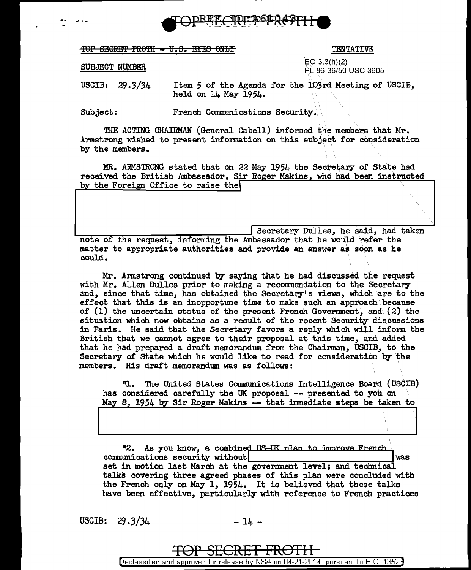

TOP SECRET FROMI - U.S. EYES ONLY

## TENTATIVE

## SUBJECT NUMBER

 $EO 3.3(h)(2)$ PL 86-36/50 USC 3605

**USCIB:**  $29.3/34$ Item 5 of the Agenda for the 103rd Meeting of USCIB, held on 14 May 1954.

Subject: French Communications Security.

THE ACTING CHAIRMAN (General Cabell) informed the members that Mr. Armstrong wished to present information on this subject for consideration by the members.

MR. ARMSTRONG stated that on 22 May 1954 the Secretary of State had received the British Ambassador, Sir Roger Makins, who had been instructed by the Foreign Office to raise the

Secretary Dulles, he said, had taken note of the request, informing the Ambassador that he would refer the matter to appropriate authorities and provide an answer as soon as he could.

Mr. Armstrong continued by saying that he had discussed the request with Mr. Allen Dulles prior to making a recommendation to the Secretary and, since that time, has obtained the Secretary's views, which are to the effect that this is an inopportune time to make such an approach because of  $(1)$  the uncertain status of the present French Government, and  $(2)$  the situation which now obtains as a result of the recent Security discussions in Paris. He said that the Secretary favors a reply which will inform the British that we cannot agree to their proposal at this time, and added that he had prepared a draft memorandum from the Chairman. USCIB, to the Secretary of State which he would like to read for consideration by the members. His draft memorandum was as follows:

"1. The United States Communications Intelligence Board (USCIB) has considered carefully the UK proposal -- presented to you on May 8, 1954 by Sir Roger Makins -- that immediate steps be taken to

"2. As you know, a combined US-UK plan to improve French communications security without was set in motion last March at the government level; and technical talks covering three agreed phases of this plan were concluded with the French only on May 1, 1954. It is believed that these talks have been effective, particularly with reference to French practices

USCIB:  $29.3/34$